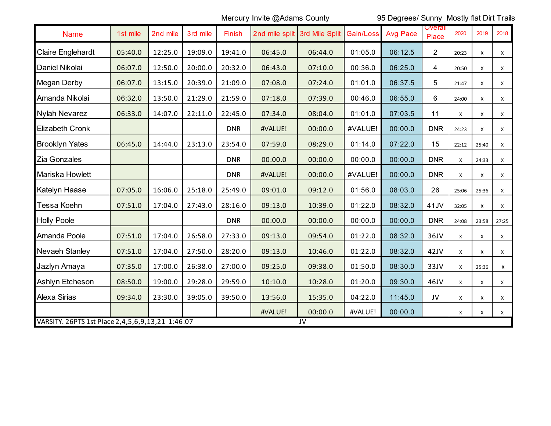Mercury Invite @Adams County 95 Degrees/ Sunny Mostly flat Dirt Trails

| <b>Name</b>                                                    | 1st mile | 2nd mile | 3rd mile | Finish     | 2nd mile split 3rd Mile Split |         | Gain/Loss | <b>Avg Pace</b> | <b>Overall</b><br>Place | 2020  | 2019         | 2018        |
|----------------------------------------------------------------|----------|----------|----------|------------|-------------------------------|---------|-----------|-----------------|-------------------------|-------|--------------|-------------|
| Claire Englehardt                                              | 05:40.0  | 12:25.0  | 19:09.0  | 19:41.0    | 06:45.0                       | 06:44.0 | 01:05.0   | 06:12.5         | $\overline{2}$          | 20:23 | X            | X           |
| Daniel Nikolai                                                 | 06:07.0  | 12:50.0  | 20:00.0  | 20:32.0    | 06:43.0                       | 07:10.0 | 00:36.0   | 06:25.0         | $\overline{4}$          | 20:50 | X            | $\mathsf X$ |
| Megan Derby                                                    | 06:07.0  | 13:15.0  | 20:39.0  | 21:09.0    | 07:08.0                       | 07:24.0 | 01:01.0   | 06:37.5         | 5                       | 21:47 | X            | X           |
| Amanda Nikolai                                                 | 06:32.0  | 13:50.0  | 21:29.0  | 21:59.0    | 07:18.0                       | 07:39.0 | 00:46.0   | 06:55.0         | 6                       | 24:00 | X            | X           |
| Nylah Nevarez                                                  | 06:33.0  | 14:07.0  | 22:11.0  | 22:45.0    | 07:34.0                       | 08:04.0 | 01:01.0   | 07:03.5         | 11                      | X     | $\times$     | X           |
| Elizabeth Cronk                                                |          |          |          | <b>DNR</b> | #VALUE!                       | 00:00.0 | #VALUE!   | 00:00.0         | <b>DNR</b>              | 24:23 | X            | X           |
| <b>Brooklyn Yates</b>                                          | 06:45.0  | 14:44.0  | 23:13.0  | 23:54.0    | 07:59.0                       | 08:29.0 | 01:14.0   | 07:22.0         | 15                      | 22:12 | 25:40        | X           |
| Zia Gonzales                                                   |          |          |          | <b>DNR</b> | 00:00.0                       | 00:00.0 | 00:00.0   | 00:00.0         | <b>DNR</b>              | X     | 24:33        | X           |
| Mariska Howlett                                                |          |          |          | <b>DNR</b> | #VALUE!                       | 00:00.0 | #VALUE!   | 00:00.0         | <b>DNR</b>              | X     | X            | X           |
| Katelyn Haase                                                  | 07:05.0  | 16:06.0  | 25:18.0  | 25:49.0    | 09:01.0                       | 09:12.0 | 01:56.0   | 08:03.0         | 26                      | 25:06 | 25:36        | X           |
| Tessa Koehn                                                    | 07:51.0  | 17:04.0  | 27:43.0  | 28:16.0    | 09:13.0                       | 10:39.0 | 01:22.0   | 08:32.0         | 41JV                    | 32:05 | X            | X           |
| <b>Holly Poole</b>                                             |          |          |          | <b>DNR</b> | 00:00.0                       | 00:00.0 | 00:00.0   | 00:00.0         | <b>DNR</b>              | 24:08 | 23:58        | 27:25       |
| Amanda Poole                                                   | 07:51.0  | 17:04.0  | 26:58.0  | 27:33.0    | 09:13.0                       | 09:54.0 | 01:22.0   | 08:32.0         | 36JV                    | X     | X            | X           |
| Nevaeh Stanley                                                 | 07:51.0  | 17:04.0  | 27:50.0  | 28:20.0    | 09:13.0                       | 10:46.0 | 01:22.0   | 08:32.0         | 42JV                    | X     | X            | X           |
| Jazlyn Amaya                                                   | 07:35.0  | 17:00.0  | 26:38.0  | 27:00.0    | 09:25.0                       | 09:38.0 | 01:50.0   | 08:30.0         | 33JV                    | X     | 25:36        | X           |
| Ashlyn Etcheson                                                | 08:50.0  | 19:00.0  | 29:28.0  | 29:59.0    | 10:10.0                       | 10:28.0 | 01:20.0   | 09:30.0         | 46JV                    | X     | X            | X           |
| Alexa Sirias                                                   | 09:34.0  | 23:30.0  | 39:05.0  | 39:50.0    | 13:56.0                       | 15:35.0 | 04:22.0   | 11:45.0         | JV                      | X     | $\mathsf{x}$ | X           |
|                                                                |          |          |          |            | #VALUE!                       | 00:00.0 | #VALUE!   | 00:00.0         |                         | X     | X            | X           |
| VARSITY. 26PTS 1st Place 2, 4, 5, 6, 9, 13, 21 1: 46: 07<br>JV |          |          |          |            |                               |         |           |                 |                         |       |              |             |